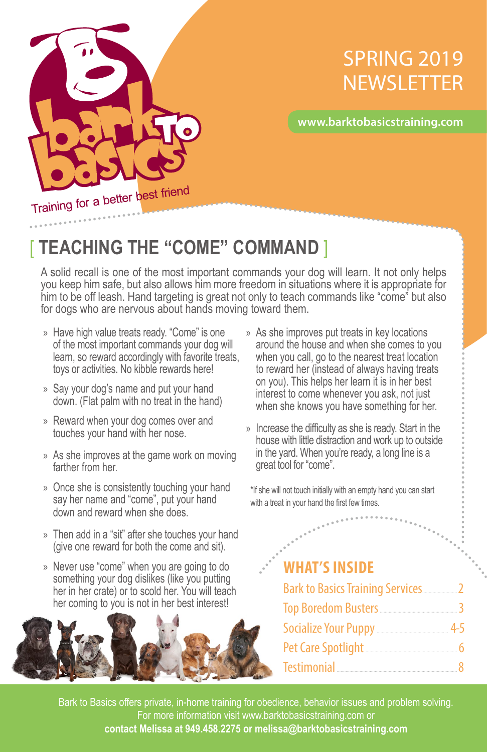

## SPRING 2019 **NEWSLETTER**

#### **www.barktobasicstraining.com**

[ **TEACHING THE "COME" COMMAND** ]

A solid recall is one of the most important commands your dog will learn. It not only helps you keep him safe, but also allows him more freedom in situations where it is appropriate for him to be off leash. Hand targeting is great not only to teach commands like "come" but also for dogs who are nervous about hands moving toward them.

- » Have high value treats ready. "Come" is one of the most important commands your dog will learn, so reward accordingly with favorite treats, toys or activities. No kibble rewards here!
- » Say your dog's name and put your hand down. (Flat palm with no treat in the hand)
- » Reward when your dog comes over and touches your hand with her nose.
- » As she improves at the game work on moving farther from her.
- » Once she is consistently touching your hand say her name and "come", put your hand down and reward when she does.
- » Then add in a "sit" after she touches your hand (give one reward for both the come and sit).
- » Never use "come" when you are going to do something your dog dislikes (like you putting her in her crate) or to scold her. You will teach her coming to you is not in her best interest!



- » As she improves put treats in key locations around the house and when she comes to you when you call, go to the nearest treat location to reward her (instead of always having treats on you). This helps her learn it is in her best interest to come whenever you ask, not just when she knows you have something for her.
- » Increase the difficulty as she is ready. Start in the house with little distraction and work up to outside in the yard. When you're ready, a long line is a great tool for "come".

\*If she will not touch initially with an empty hand you can start with a treat in your hand the first few times.

#### **WHAT'S INSIDE**

| $\mathbb{R}^{2^{n-1}}$                                               |  |  |
|----------------------------------------------------------------------|--|--|
| <b>WHAT'S INSIDE</b>                                                 |  |  |
| <b>Bark to Basics Training Services</b> 2                            |  |  |
| Top Boredom Busters <u>[</u> [16] Top Boredom Busters <b>[16]</b>    |  |  |
| Socialize Your Puppy <b>Manual</b> 4-5                               |  |  |
| Pet Care Spotlight <u>[</u> [11] Pet Care Spotlight <b>[11]</b> 2006 |  |  |
|                                                                      |  |  |

1 **contact Melissa at 949.458.2275 or melissa@barktobasicstraining.com** Bark to Basics offers private, in-home training for obedience, behavior issues and problem solving. For more information visit www.barktobasicstraining.com or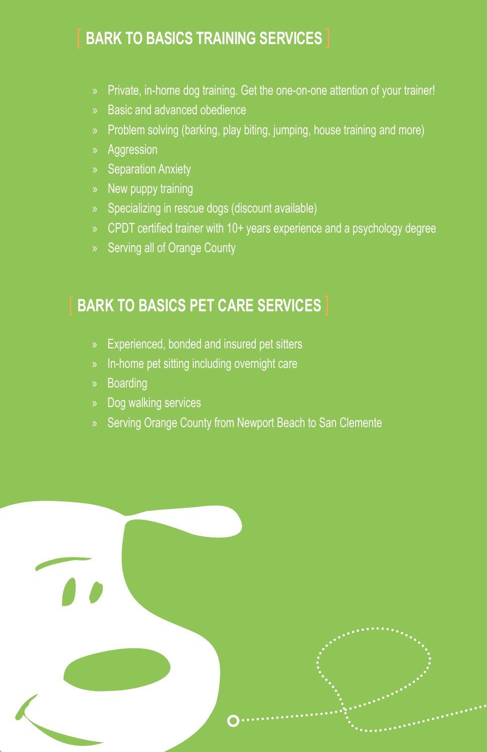### [ **BARK TO BASICS TRAINING SERVICES** ]

- » Private, in-home dog training. Get the one-on-one attention of your trainer!
- » Basic and advanced obedience
- » Problem solving (barking, play biting, jumping, house training and more)
- » Aggression
- » Separation Anxiety
- » New puppy training
- » Specializing in rescue dogs (discount available)
- » CPDT certified trainer with 10+ years experience and a psychology degree
- » Serving all of Orange County

### **BARK TO BASICS PET CARE SERVICES**

- » Experienced, bonded and insured pet sitters
- » In-home pet sitting including overnight care
- » Boarding
- » Dog walking services
- » Serving Orange County from Newport Beach to San Clemente

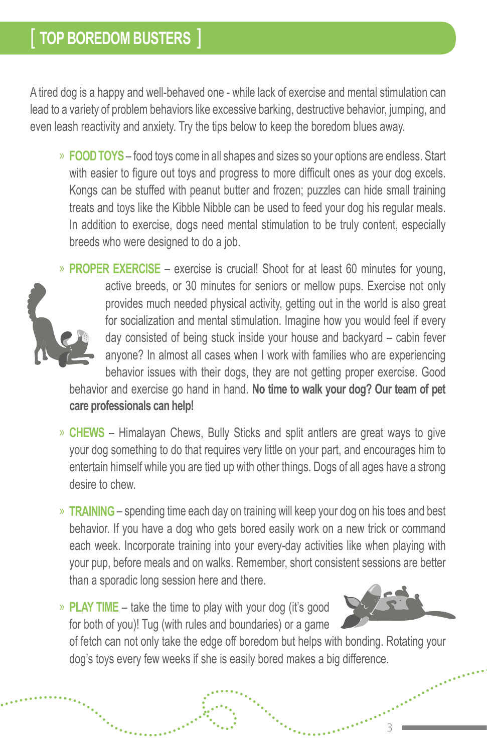A tired dog is a happy and well-behaved one - while lack of exercise and mental stimulation can lead to a variety of problem behaviors like excessive barking, destructive behavior, jumping, and even leash reactivity and anxiety. Try the tips below to keep the boredom blues away.

» **FOOD TOYS** – food toys come in all shapes and sizes so your options are endless. Start with easier to figure out toys and progress to more difficult ones as your dog excels. Kongs can be stuffed with peanut butter and frozen; puzzles can hide small training treats and toys like the Kibble Nibble can be used to feed your dog his regular meals. In addition to exercise, dogs need mental stimulation to be truly content, especially breeds who were designed to do a job.



» **PROPER EXERCISE** – exercise is crucial! Shoot for at least 60 minutes for young, active breeds, or 30 minutes for seniors or mellow pups. Exercise not only provides much needed physical activity, getting out in the world is also great for socialization and mental stimulation. Imagine how you would feel if every day consisted of being stuck inside your house and backyard – cabin fever anyone? In almost all cases when I work with families who are experiencing behavior issues with their dogs, they are not getting proper exercise. Good behavior and exercise go hand in hand. **No time to walk your dog? Our team of pet care professionals can help!** 

- » **CHEWS** Himalayan Chews, Bully Sticks and split antlers are great ways to give your dog something to do that requires very little on your part, and encourages him to entertain himself while you are tied up with other things. Dogs of all ages have a strong desire to chew.
- » **TRAINING** spending time each day on training will keep your dog on his toes and best behavior. If you have a dog who gets bored easily work on a new trick or command each week. Incorporate training into your every-day activities like when playing with your pup, before meals and on walks. Remember, short consistent sessions are better than a sporadic long session here and there.

» **PLAY TIME** – take the time to play with your dog (it's good for both of you)! Tug (with rules and boundaries) or a game



3

of fetch can not only take the edge off boredom but helps with bonding. Rotating your dog's toys every few weeks if she is easily bored makes a big difference.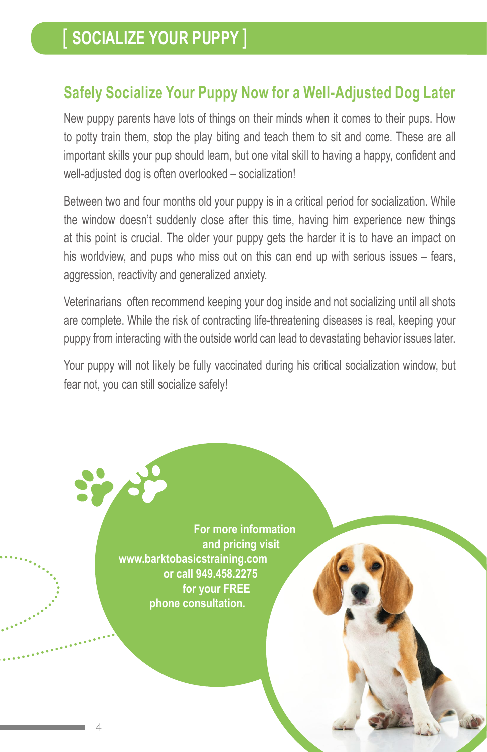### **Safely Socialize Your Puppy Now for a Well-Adjusted Dog Later**

New puppy parents have lots of things on their minds when it comes to their pups. How to potty train them, stop the play biting and teach them to sit and come. These are all important skills your pup should learn, but one vital skill to having a happy, confident and well-adjusted dog is often overlooked – socialization!

Between two and four months old your puppy is in a critical period for socialization. While the window doesn't suddenly close after this time, having him experience new things at this point is crucial. The older your puppy gets the harder it is to have an impact on his worldview, and pups who miss out on this can end up with serious issues – fears, aggression, reactivity and generalized anxiety.

Veterinarians often recommend keeping your dog inside and not socializing until all shots are complete. While the risk of contracting life-threatening diseases is real, keeping your puppy from interacting with the outside world can lead to devastating behavior issues later.

Your puppy will not likely be fully vaccinated during his critical socialization window, but fear not, you can still socialize safely!

> **For more information and pricing visit www.barktobasicstraining.com or call 949.458.2275 for your FREE phone consultation.**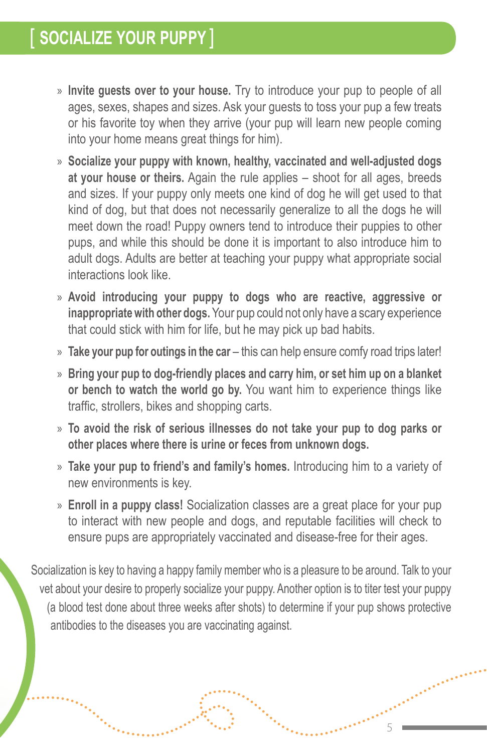- » **Invite guests over to your house.** Try to introduce your pup to people of all ages, sexes, shapes and sizes. Ask your guests to toss your pup a few treats or his favorite toy when they arrive (your pup will learn new people coming into your home means great things for him).
- » **Socialize your puppy with known, healthy, vaccinated and well-adjusted dogs at your house or theirs.** Again the rule applies – shoot for all ages, breeds and sizes. If your puppy only meets one kind of dog he will get used to that kind of dog, but that does not necessarily generalize to all the dogs he will meet down the road! Puppy owners tend to introduce their puppies to other pups, and while this should be done it is important to also introduce him to adult dogs. Adults are better at teaching your puppy what appropriate social interactions look like.
- » **Avoid introducing your puppy to dogs who are reactive, aggressive or inappropriate with other dogs.** Your pup could not only have a scary experience that could stick with him for life, but he may pick up bad habits.
- » **Take your pup for outings in the car** this can help ensure comfy road trips later!
- » **Bring your pup to dog-friendly places and carry him, or set him up on a blanket or bench to watch the world go by.** You want him to experience things like traffic, strollers, bikes and shopping carts.
- » **To avoid the risk of serious illnesses do not take your pup to dog parks or other places where there is urine or feces from unknown dogs.**
- » **Take your pup to friend's and family's homes.** Introducing him to a variety of new environments is key.
- » **Enroll in a puppy class!** Socialization classes are a great place for your pup to interact with new people and dogs, and reputable facilities will check to ensure pups are appropriately vaccinated and disease-free for their ages.

Socialization is key to having a happy family member who is a pleasure to be around. Talk to your vet about your desire to properly socialize your puppy. Another option is to titer test your puppy (a blood test done about three weeks after shots) to determine if your pup shows protective antibodies to the diseases you are vaccinating against.

5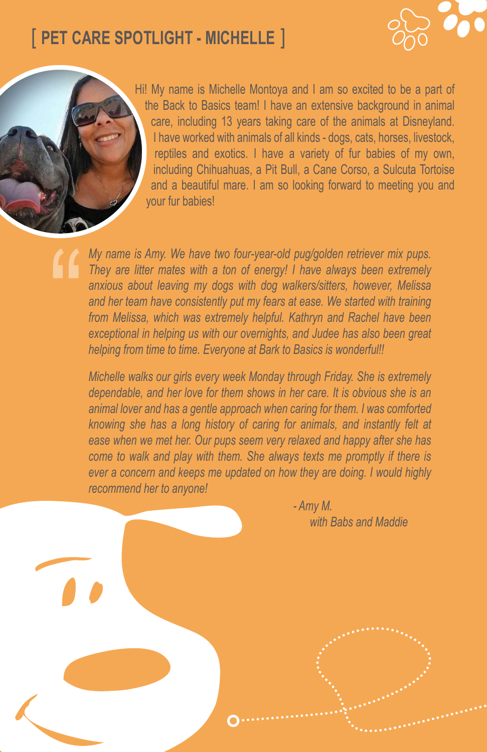## [ **PET CARE SPOTLIGHT - MICHELLE** ]





Hi! My name is Michelle Montoya and I am so excited to be a part of the Back to Basics team! I have an extensive background in animal care, including 13 years taking care of the animals at Disneyland. I have worked with animals of all kinds - dogs, cats, horses, livestock, reptiles and exotics. I have a variety of fur babies of my own, including Chihuahuas, a Pit Bull, a Cane Corso, a Sulcuta Tortoise and a beautiful mare. I am so looking forward to meeting you and your fur babies!

*My name is Amy. We have two four-year-old pug/golden retriever mix pups. They are litter mates with a ton of energy! I have always been extremely anxious about leaving my dogs with dog walkers/sitters, however, Melissa and her team have consistently put my fears at ease. We started with training from Melissa, which was extremely helpful. Kathryn and Rachel have been exceptional in helping us with our overnights, and Judee has also been great helping from time to time. Everyone at Bark to Basics is wonderful!!* 

*Michelle walks our girls every week Monday through Friday. She is extremely dependable, and her love for them shows in her care. It is obvious she is an animal lover and has a gentle approach when caring for them. I was comforted knowing she has a long history of caring for animals, and instantly felt at ease when we met her. Our pups seem very relaxed and happy after she has come to walk and play with them. She always texts me promptly if there is ever a concern and keeps me updated on how they are doing. I would highly recommend her to anyone!* 

> *- Amy M. with Babs and Maddie*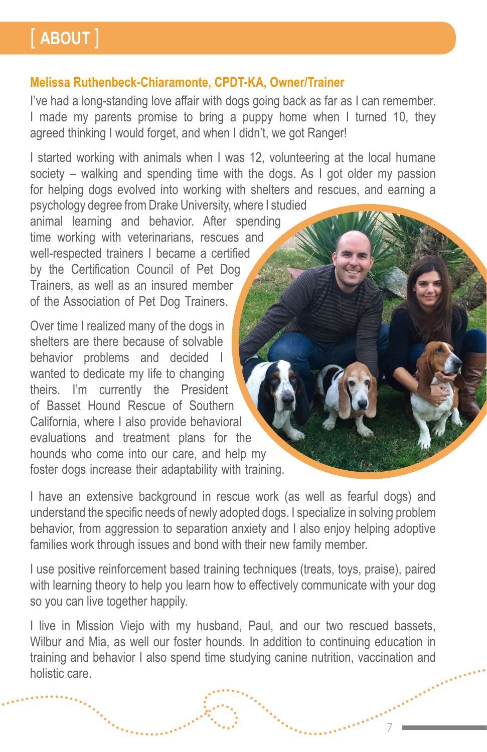# [ **ABOUT** ]

#### **Melissa Ruthenbeck-Chiaramonte, CPDT-KA, Owner/Trainer**

I've had a long-standing love affair with dogs going back as far as I can remember. I made my parents promise to bring a puppy home when I turned 10, they agreed thinking I would forget, and when I didn't, we got Ranger!

I started working with animals when I was 12, volunteering at the local humane society – walking and spending time with the dogs. As I got older my passion for helping dogs evolved into working with shelters and rescues, and earning a psychology degree from Drake University, where I studied

animal learning and behavior. After spending time working with veterinarians, rescues and well-respected trainers I became a certified by the Certification Council of Pet Dog Trainers, as well as an insured member of the Association of Pet Dog Trainers.

Over time I realized many of the dogs in shelters are there because of solvable behavior problems and decided I wanted to dedicate my life to changing theirs. I'm currently the President of Basset Hound Rescue of Southern California, where I also provide behavioral evaluations and treatment plans for the hounds who come into our care, and help my foster dogs increase their adaptability with training.

I have an extensive background in rescue work (as well as fearful dogs) and understand the specific needs of newly adopted dogs. I specialize in solving problem behavior, from aggression to separation anxiety and I also enjoy helping adoptive families work through issues and bond with their new family member.

I use positive reinforcement based training techniques (treats, toys, praise), paired with learning theory to help you learn how to effectively communicate with your dog so you can live together happily.

I live in Mission Viejo with my husband, Paul, and our two rescued bassets, Wilbur and Mia, as well our foster hounds. In addition to continuing education in training and behavior I also spend time studying canine nutrition, vaccination and holistic care.

7